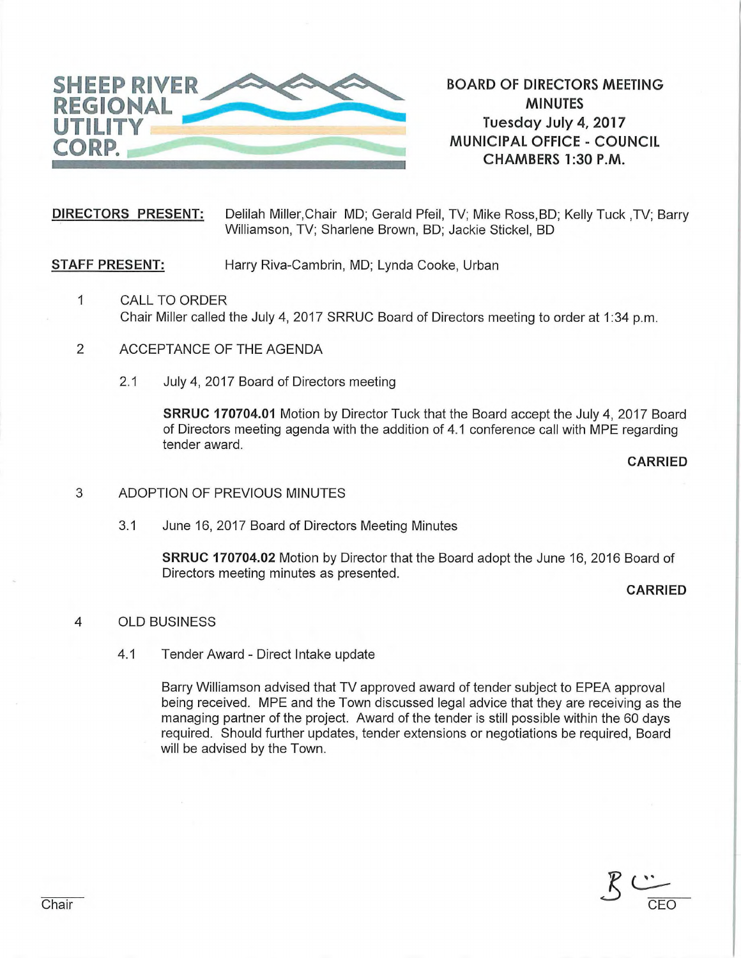

**BOARD OF DIRECTORS MEETING MINUTES Tuesday July 4, 2017 MUNICIPAL OFFICE - COUNCIL CHAMBERS 1:30 P.M.** 

**DIRECTORS PRESENT:** Delilah Miller,Chair MD; Gerald Pfeil, TV; Mike Ross,BD; Kelly Tuck ,TV; Barry Williamson, TV; Sharlene Brown, BD; Jackie Stickel, BD

**STAFF PRESENT:** Harry Riva-Cambrin, MD; Lynda Cooke, Urban

- 1 CALL TO ORDER Chair Miller called the July 4, 2017 SRRUC Board of Directors meeting to order at 1:34 p.m.
- 2 ACCEPTANCE OF THE AGENDA
	- 2.1 July 4, 2017 Board of Directors meeting

**SRRUC 170704.01** Motion by Director Tuck that the Board accept the July 4, 2017 Board of Directors meeting agenda with the addition of 4.1 conference call with MPE regarding tender award.

**CARRIED** 

- 3 ADOPTION OF PREVIOUS MINUTES
	- 3.1 June 16, 2017 Board of Directors Meeting Minutes

**SRRUC 170704.02** Motion by Director that the Board adopt the June 16, 2016 Board of Directors meeting minutes as presented.

## **CARRIED**

## 4 OLD BUSINESS

4.1 Tender Award - Direct Intake update

Barry Williamson advised that TV approved award of tender subject to EPEA approval being received. MPE and the Town discussed legal advice that they are receiving as the managing partner of the project. Award of the tender is still possible within the 60 days required. Should further updates, tender extensions or negotiations be required, Board will be advised by the Town.

 $\overline{\phantom{a}}$ Chair **CEO**